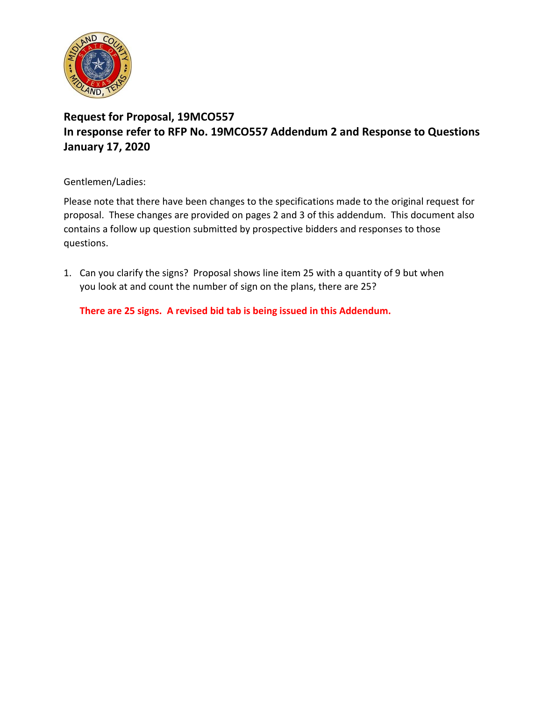

## **Request for Proposal, 19MCO557 In response refer to RFP No. 19MCO557 Addendum 2 and Response to Questions January 17, 2020**

Gentlemen/Ladies:

Please note that there have been changes to the specifications made to the original request for proposal. These changes are provided on pages 2 and 3 of this addendum. This document also contains a follow up question submitted by prospective bidders and responses to those questions.

1. Can you clarify the signs? Proposal shows line item 25 with a quantity of 9 but when you look at and count the number of sign on the plans, there are 25?

**There are 25 signs. A revised bid tab is being issued in this Addendum.**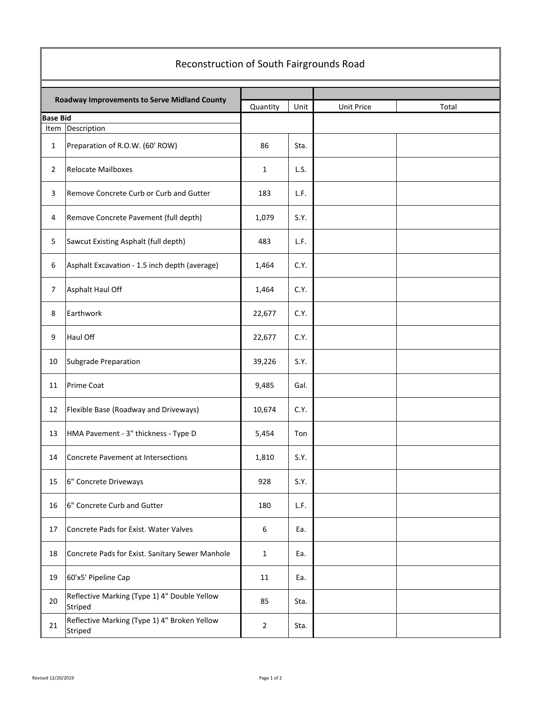| Reconstruction of South Fairgrounds Road |                                                         |                |      |            |       |  |  |  |
|------------------------------------------|---------------------------------------------------------|----------------|------|------------|-------|--|--|--|
|                                          | Roadway Improvements to Serve Midland County            |                |      |            |       |  |  |  |
| <b>Base Bid</b>                          |                                                         | Quantity       | Unit | Unit Price | Total |  |  |  |
| Item                                     | Description                                             |                |      |            |       |  |  |  |
| 1                                        | Preparation of R.O.W. (60' ROW)                         | 86             | Sta. |            |       |  |  |  |
| $\overline{2}$                           | <b>Relocate Mailboxes</b>                               | 1              | L.S. |            |       |  |  |  |
| 3                                        | Remove Concrete Curb or Curb and Gutter                 | 183            | L.F. |            |       |  |  |  |
| 4                                        | Remove Concrete Pavement (full depth)                   | 1,079          | S.Y. |            |       |  |  |  |
| 5                                        | Sawcut Existing Asphalt (full depth)                    | 483            | L.F. |            |       |  |  |  |
| 6                                        | Asphalt Excavation - 1.5 inch depth (average)           | 1,464          | C.Y. |            |       |  |  |  |
| $\overline{7}$                           | Asphalt Haul Off                                        | 1,464          | C.Y. |            |       |  |  |  |
| 8                                        | Earthwork                                               | 22,677         | C.Y. |            |       |  |  |  |
| 9                                        | Haul Off                                                | 22,677         | C.Y. |            |       |  |  |  |
| 10                                       | Subgrade Preparation                                    | 39,226         | S.Y. |            |       |  |  |  |
| 11                                       | <b>Prime Coat</b>                                       | 9,485          | Gal. |            |       |  |  |  |
| 12                                       | Flexible Base (Roadway and Driveways)                   | 10,674         | C.Y. |            |       |  |  |  |
| 13                                       | HMA Pavement - 3" thickness - Type D                    | 5,454          | Ton  |            |       |  |  |  |
| 14                                       | Concrete Pavement at Intersections                      | 1,810          | S.Y. |            |       |  |  |  |
| 15                                       | 6" Concrete Driveways                                   | 928            | S.Y. |            |       |  |  |  |
| 16                                       | 6" Concrete Curb and Gutter                             | 180            | L.F. |            |       |  |  |  |
| 17                                       | Concrete Pads for Exist. Water Valves                   | 6              | Ea.  |            |       |  |  |  |
| 18                                       | Concrete Pads for Exist. Sanitary Sewer Manhole         | $\mathbf{1}$   | Ea.  |            |       |  |  |  |
| 19                                       | 60'x5' Pipeline Cap                                     | 11             | Ea.  |            |       |  |  |  |
| 20                                       | Reflective Marking (Type 1) 4" Double Yellow<br>Striped | 85             | Sta. |            |       |  |  |  |
| 21                                       | Reflective Marking (Type 1) 4" Broken Yellow<br>Striped | $\overline{2}$ | Sta. |            |       |  |  |  |